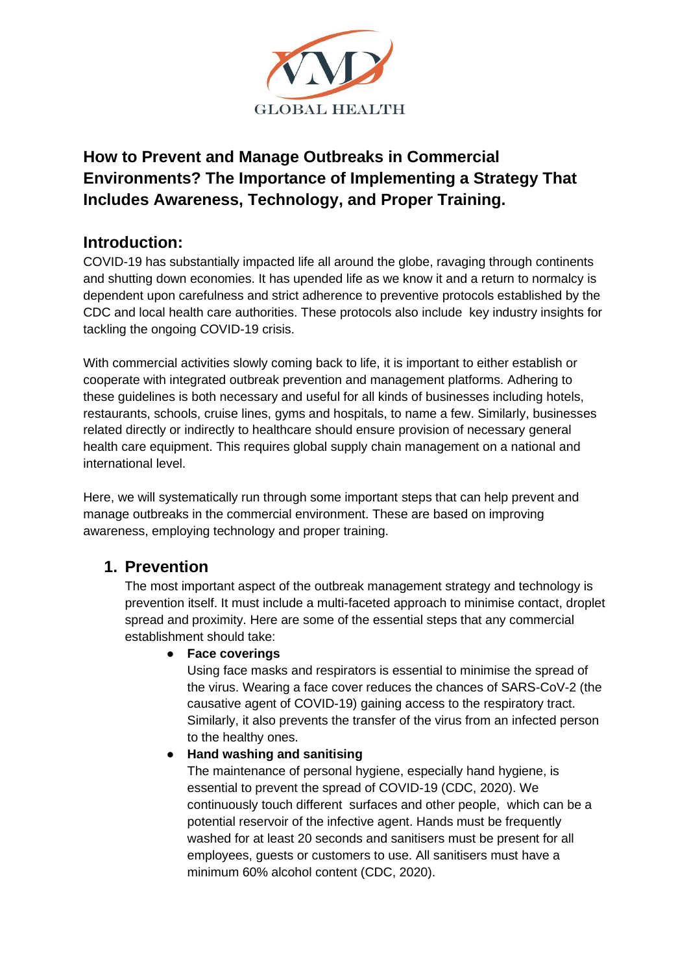

# **How to Prevent and Manage Outbreaks in Commercial Environments? The Importance of Implementing a Strategy That Includes Awareness, Technology, and Proper Training.**

## **Introduction:**

COVID-19 has substantially impacted life all around the globe, ravaging through continents and shutting down economies. It has upended life as we know it and a return to normalcy is dependent upon carefulness and strict adherence to preventive protocols established by the CDC and local health care authorities. These protocols also include key industry insights for tackling the ongoing COVID-19 crisis.

With commercial activities slowly coming back to life, it is important to either establish or cooperate with integrated outbreak prevention and management platforms. Adhering to these guidelines is both necessary and useful for all kinds of businesses including hotels, restaurants, schools, cruise lines, gyms and hospitals, to name a few. Similarly, businesses related directly or indirectly to healthcare should ensure provision of necessary general health care equipment. This requires global supply chain management on a national and international level.

Here, we will systematically run through some important steps that can help prevent and manage outbreaks in the commercial environment. These are based on improving awareness, employing technology and proper training.

# **1. Prevention**

The most important aspect of the outbreak management strategy and technology is prevention itself. It must include a multi-faceted approach to minimise contact, droplet spread and proximity. Here are some of the essential steps that any commercial establishment should take:

## ● **Face coverings**

Using face masks and respirators is essential to minimise the spread of the virus. Wearing a face cover reduces the chances of SARS-CoV-2 (the causative agent of COVID-19) gaining access to the respiratory tract. Similarly, it also prevents the transfer of the virus from an infected person to the healthy ones.

## ● **Hand washing and sanitising**

The maintenance of personal hygiene, especially hand hygiene, is essential to prevent the spread of COVID-19 (CDC, 2020). We continuously touch different surfaces and other people, which can be a potential reservoir of the infective agent. Hands must be frequently washed for at least 20 seconds and sanitisers must be present for all employees, guests or customers to use. All sanitisers must have a minimum 60% alcohol content (CDC, 2020).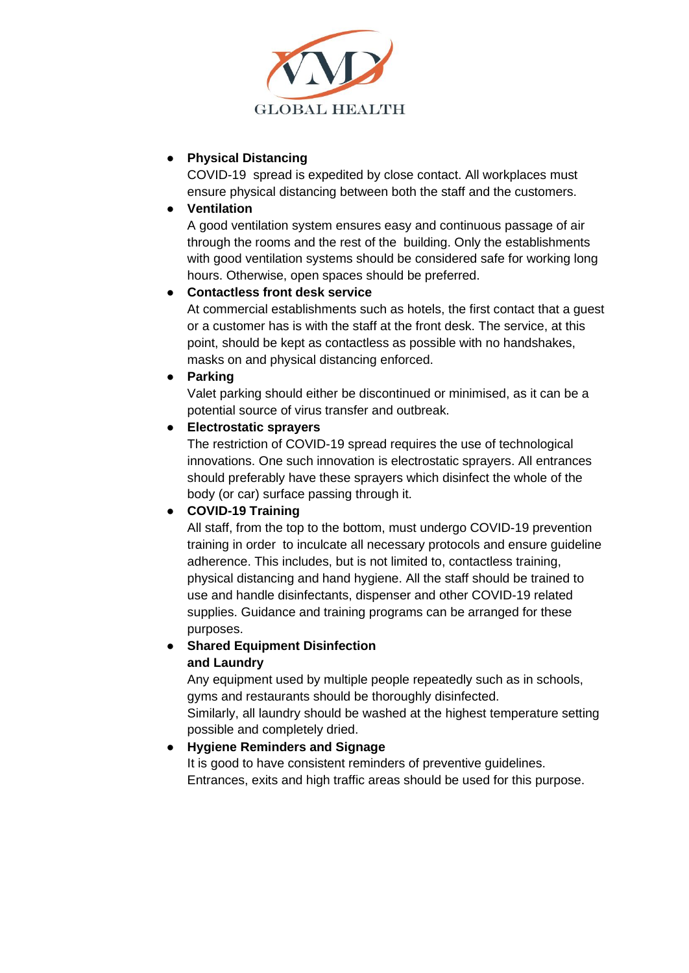

### ● **Physical Distancing**

COVID-19 spread is expedited by close contact. All workplaces must ensure physical distancing between both the staff and the customers.

● **Ventilation**

A good ventilation system ensures easy and continuous passage of air through the rooms and the rest of the building. Only the establishments with good ventilation systems should be considered safe for working long hours. Otherwise, open spaces should be preferred.

### ● **Contactless front desk service**

At commercial establishments such as hotels, the first contact that a guest or a customer has is with the staff at the front desk. The service, at this point, should be kept as contactless as possible with no handshakes, masks on and physical distancing enforced.

### ● **Parking**

Valet parking should either be discontinued or minimised, as it can be a potential source of virus transfer and outbreak.

### ● **Electrostatic sprayers**

The restriction of COVID-19 spread requires the use of technological innovations. One such innovation is electrostatic sprayers. All entrances should preferably have these sprayers which disinfect the whole of the body (or car) surface passing through it.

## ● **COVID-19 Training**

All staff, from the top to the bottom, must undergo COVID-19 prevention training in order to inculcate all necessary protocols and ensure guideline adherence. This includes, but is not limited to, contactless training, physical distancing and hand hygiene. All the staff should be trained to use and handle disinfectants, dispenser and other COVID-19 related supplies. Guidance and training programs can be arranged for these purposes.

# ● **Shared Equipment Disinfection**

### **and Laundry**

Any equipment used by multiple people repeatedly such as in schools, gyms and restaurants should be thoroughly disinfected. Similarly, all laundry should be washed at the highest temperature setting possible and completely dried.

## ● **Hygiene Reminders and Signage**

It is good to have consistent reminders of preventive guidelines. Entrances, exits and high traffic areas should be used for this purpose.